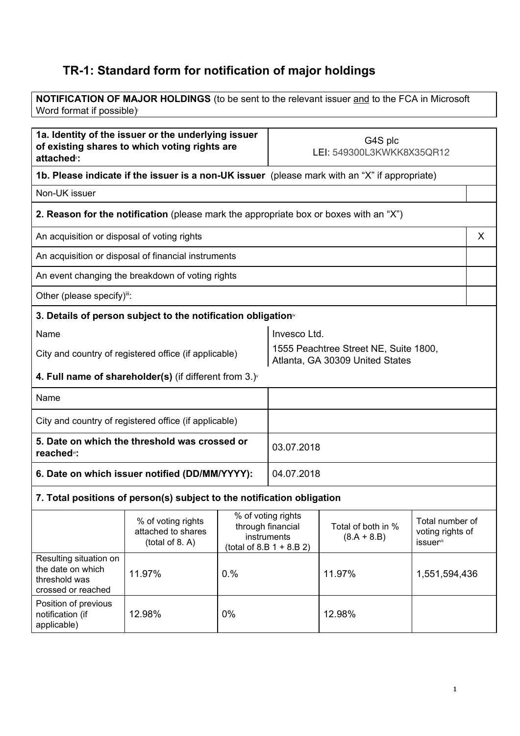## **TR-1: Standard form for notification of major holdings**

**NOTIFICATION OF MAJOR HOLDINGS** (to be sent to the relevant issuer and to the FCA in Microsoft Word format if possible)

| 1a. Identity of the issuer or the underlying issuer<br>of existing shares to which voting rights are<br>attached <sup>®</sup> : |                                                                                       | G4S plc<br>LEI: 549300L3KWKK8X35QR12 |                                                                                       |                                     |                                                                     |   |
|---------------------------------------------------------------------------------------------------------------------------------|---------------------------------------------------------------------------------------|--------------------------------------|---------------------------------------------------------------------------------------|-------------------------------------|---------------------------------------------------------------------|---|
| 1b. Please indicate if the issuer is a non-UK issuer (please mark with an "X" if appropriate)                                   |                                                                                       |                                      |                                                                                       |                                     |                                                                     |   |
| Non-UK issuer                                                                                                                   |                                                                                       |                                      |                                                                                       |                                     |                                                                     |   |
|                                                                                                                                 | 2. Reason for the notification (please mark the appropriate box or boxes with an "X") |                                      |                                                                                       |                                     |                                                                     |   |
| An acquisition or disposal of voting rights                                                                                     |                                                                                       |                                      |                                                                                       |                                     |                                                                     | X |
| An acquisition or disposal of financial instruments                                                                             |                                                                                       |                                      |                                                                                       |                                     |                                                                     |   |
|                                                                                                                                 | An event changing the breakdown of voting rights                                      |                                      |                                                                                       |                                     |                                                                     |   |
| Other (please specify)il:                                                                                                       |                                                                                       |                                      |                                                                                       |                                     |                                                                     |   |
|                                                                                                                                 | 3. Details of person subject to the notification obligation <sup>®</sup>              |                                      |                                                                                       |                                     |                                                                     |   |
| Name                                                                                                                            |                                                                                       |                                      | Invesco Ltd.                                                                          |                                     |                                                                     |   |
| City and country of registered office (if applicable)                                                                           |                                                                                       |                                      | 1555 Peachtree Street NE, Suite 1800,<br>Atlanta, GA 30309 United States              |                                     |                                                                     |   |
|                                                                                                                                 | 4. Full name of shareholder(s) (if different from $3.$ ) $\check{ }$                  |                                      |                                                                                       |                                     |                                                                     |   |
| Name                                                                                                                            |                                                                                       |                                      |                                                                                       |                                     |                                                                     |   |
| City and country of registered office (if applicable)                                                                           |                                                                                       |                                      |                                                                                       |                                     |                                                                     |   |
| 5. Date on which the threshold was crossed or<br>reached <sup>v</sup> :                                                         |                                                                                       |                                      | 03.07.2018                                                                            |                                     |                                                                     |   |
| 6. Date on which issuer notified (DD/MM/YYYY):                                                                                  |                                                                                       |                                      | 04.07.2018                                                                            |                                     |                                                                     |   |
|                                                                                                                                 | 7. Total positions of person(s) subject to the notification obligation                |                                      |                                                                                       |                                     |                                                                     |   |
|                                                                                                                                 | % of voting rights<br>attached to shares<br>(total of 8. A)                           |                                      | % of voting rights<br>through financial<br>instruments<br>(total of 8.B $1 + 8.B 2$ ) | Total of both in %<br>$(8.A + 8.B)$ | Total number of<br>voting rights of<br><b>issuer</b> <sup>vii</sup> |   |
| Resulting situation on<br>the date on which<br>threshold was<br>crossed or reached                                              | 11.97%                                                                                | 0.%                                  |                                                                                       | 11.97%                              | 1,551,594,436                                                       |   |
| Position of previous<br>notification (if<br>applicable)                                                                         | 12.98%                                                                                | 0%                                   |                                                                                       | 12.98%                              |                                                                     |   |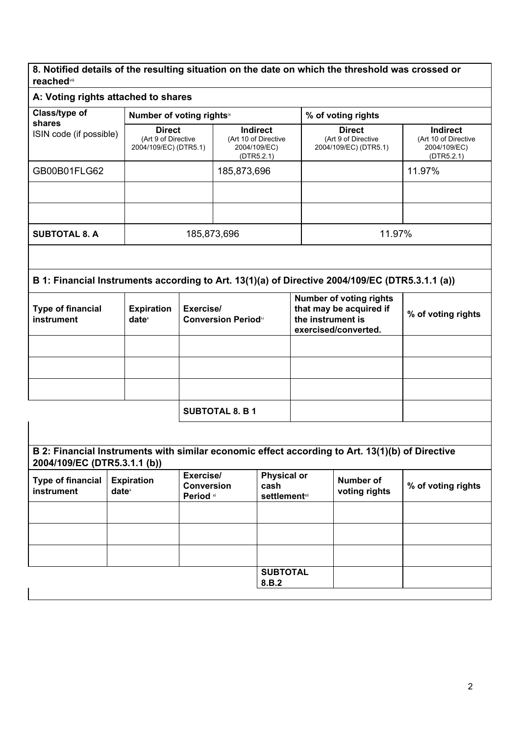**8. Notified details of the resulting situation on the date on which the threshold was crossed or reached** viii

## **A: Voting rights attached to shares**

| <b>Class/type of</b>                   | Number of voting rightsix                                     |                                                                       | % of voting rights                                                                                     |                                                                       |  |
|----------------------------------------|---------------------------------------------------------------|-----------------------------------------------------------------------|--------------------------------------------------------------------------------------------------------|-----------------------------------------------------------------------|--|
| shares<br>ISIN code (if possible)      | <b>Direct</b><br>(Art 9 of Directive<br>2004/109/EC) (DTR5.1) | <b>Indirect</b><br>(Art 10 of Directive<br>2004/109/EC)<br>(DTR5.2.1) | <b>Direct</b><br>(Art 9 of Directive<br>2004/109/EC) (DTR5.1)                                          | <b>Indirect</b><br>(Art 10 of Directive<br>2004/109/EC)<br>(DTR5.2.1) |  |
| GB00B01FLG62                           |                                                               | 185,873,696                                                           |                                                                                                        | 11.97%                                                                |  |
|                                        |                                                               |                                                                       |                                                                                                        |                                                                       |  |
|                                        |                                                               |                                                                       |                                                                                                        |                                                                       |  |
| <b>SUBTOTAL 8. A</b>                   | 185,873,696                                                   |                                                                       | 11.97%                                                                                                 |                                                                       |  |
|                                        |                                                               |                                                                       |                                                                                                        |                                                                       |  |
|                                        |                                                               |                                                                       | B 1: Financial Instruments according to Art. 13(1)(a) of Directive 2004/109/EC (DTR5.3.1.1 (a))        |                                                                       |  |
| <b>Type of financial</b><br>instrument | <b>Expiration</b><br>Exercise/<br>$date^{\times}$             | <b>Conversion Periodxi</b>                                            | <b>Number of voting rights</b><br>that may be acquired if<br>the instrument is<br>exercised/converted. | % of voting rights                                                    |  |
|                                        |                                                               |                                                                       |                                                                                                        |                                                                       |  |

|                                        |                               | <b>SUBTOTAL 8. B 1</b>                      |                                                                                                 |                                   |                    |
|----------------------------------------|-------------------------------|---------------------------------------------|-------------------------------------------------------------------------------------------------|-----------------------------------|--------------------|
|                                        |                               |                                             |                                                                                                 |                                   |                    |
| 2004/109/EC (DTR5.3.1.1 (b))           |                               |                                             | B 2: Financial Instruments with similar economic effect according to Art. 13(1)(b) of Directive |                                   |                    |
| <b>Type of financial</b><br>instrument | <b>Expiration</b><br>$date^*$ | Exercise/<br><b>Conversion</b><br>Period xi | <b>Physical or</b><br>cash<br><b>settlement</b> xii                                             | <b>Number of</b><br>voting rights | % of voting rights |
|                                        |                               |                                             |                                                                                                 |                                   |                    |
|                                        |                               |                                             |                                                                                                 |                                   |                    |
|                                        |                               |                                             |                                                                                                 |                                   |                    |
|                                        |                               |                                             | <b>SUBTOTAL</b><br>8.B.2                                                                        |                                   |                    |
|                                        |                               |                                             |                                                                                                 |                                   |                    |